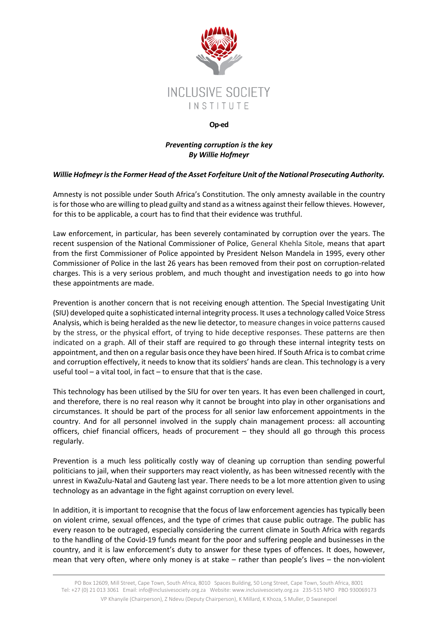

## **Op-ed**

## *Preventing corruption is the key By Willie Hofmeyr*

## *Willie Hofmeyr is the Former Head of the Asset Forfeiture Unit of the National Prosecuting Authority.*

Amnesty is not possible under South Africa's Constitution. The only amnesty available in the country is for those who are willing to plead guilty and stand as a witness against their fellow thieves. However, for this to be applicable, a court has to find that their evidence was truthful.

Law enforcement, in particular, has been severely contaminated by corruption over the years. The recent suspension of the National Commissioner of Police, General Khehla Sitole, means that apart from the first Commissioner of Police appointed by President Nelson Mandela in 1995, every other Commissioner of Police in the last 26 years has been removed from their post on corruption-related charges. This is a very serious problem, and much thought and investigation needs to go into how these appointments are made.

Prevention is another concern that is not receiving enough attention. The Special Investigating Unit (SIU) developed quite a sophisticated internal integrity process. It uses a technology called Voice Stress Analysis, which is being heralded as the new lie detector, to measure changes in voice patterns caused by the stress, or the physical effort, of trying to hide deceptive responses. These patterns are then indicated on a graph. All of their staff are required to go through these internal integrity tests on appointment, and then on a regular basis once they have been hired. If South Africa is to combat crime and corruption effectively, it needs to know that its soldiers' hands are clean. This technology is a very useful tool – a vital tool, in fact – to ensure that that is the case.

This technology has been utilised by the SIU for over ten years. It has even been challenged in court, and therefore, there is no real reason why it cannot be brought into play in other organisations and circumstances. It should be part of the process for all senior law enforcement appointments in the country. And for all personnel involved in the supply chain management process: all accounting officers, chief financial officers, heads of procurement – they should all go through this process regularly.

Prevention is a much less politically costly way of cleaning up corruption than sending powerful politicians to jail, when their supporters may react violently, as has been witnessed recently with the unrest in KwaZulu-Natal and Gauteng last year. There needs to be a lot more attention given to using technology as an advantage in the fight against corruption on every level.

In addition, it is important to recognise that the focus of law enforcement agencies has typically been on violent crime, sexual offences, and the type of crimes that cause public outrage. The public has every reason to be outraged, especially considering the current climate in South Africa with regards to the handling of the Covid-19 funds meant for the poor and suffering people and businesses in the country, and it is law enforcement's duty to answer for these types of offences. It does, however, mean that very often, where only money is at stake – rather than people's lives – the non-violent